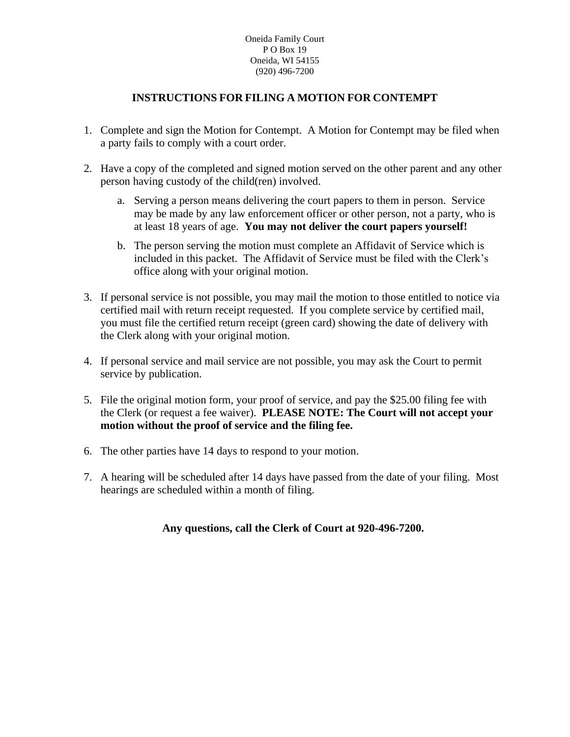## **INSTRUCTIONS FOR FILING A MOTION FOR CONTEMPT**

- 1. Complete and sign the Motion for Contempt. A Motion for Contempt may be filed when a party fails to comply with a court order.
- 2. Have a copy of the completed and signed motion served on the other parent and any other person having custody of the child(ren) involved.
	- a. Serving a person means delivering the court papers to them in person. Service may be made by any law enforcement officer or other person, not a party, who is at least 18 years of age. **You may not deliver the court papers yourself!**
	- b. The person serving the motion must complete an Affidavit of Service which is included in this packet. The Affidavit of Service must be filed with the Clerk's office along with your original motion.
- 3. If personal service is not possible, you may mail the motion to those entitled to notice via certified mail with return receipt requested. If you complete service by certified mail, you must file the certified return receipt (green card) showing the date of delivery with the Clerk along with your original motion.
- 4. If personal service and mail service are not possible, you may ask the Court to permit service by publication.
- 5. File the original motion form, your proof of service, and pay the \$25.00 filing fee with the Clerk (or request a fee waiver). **PLEASE NOTE: The Court will not accept your motion without the proof of service and the filing fee.**
- 6. The other parties have 14 days to respond to your motion.
- 7. A hearing will be scheduled after 14 days have passed from the date of your filing. Most hearings are scheduled within a month of filing.

### **Any questions, call the Clerk of Court at 920-496-7200.**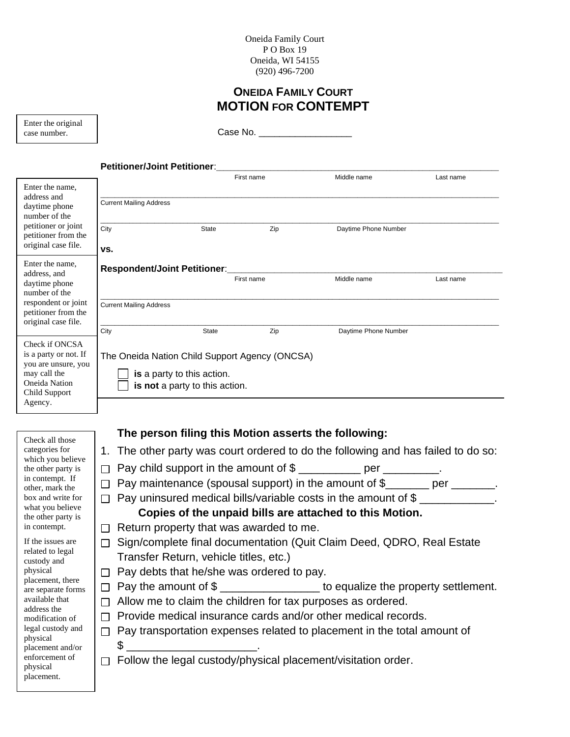Oneida Family Court P O Box 19 Oneida, WI 54155 (920) 496-7200

## **ONEIDA FAMILY COURT MOTION FOR CONTEMPT**

Enter the original case number.

Case No. \_\_\_\_\_\_\_\_\_\_\_\_\_\_\_\_\_\_

#### **Petitioner/Joint Petitioner**:\_\_\_\_\_\_\_\_\_\_\_\_\_\_\_\_\_\_\_\_\_\_\_\_\_\_\_\_\_\_\_\_\_\_\_\_\_\_\_\_\_\_\_\_\_\_\_\_\_\_\_\_\_\_\_\_\_\_\_\_\_\_\_\_\_\_\_\_\_\_\_\_\_\_\_\_\_\_

|                                                                                                                                        |                                                                                                                | First name | Middle name          | Last name |  |
|----------------------------------------------------------------------------------------------------------------------------------------|----------------------------------------------------------------------------------------------------------------|------------|----------------------|-----------|--|
| Enter the name,<br>address and<br>daytime phone<br>number of the<br>petitioner or joint<br>petitioner from the<br>original case file.  | <b>Current Mailing Address</b><br>City<br><b>State</b><br>VS.                                                  | Zip        | Daytime Phone Number |           |  |
| Enter the name,<br>address, and<br>daytime phone<br>number of the<br>respondent or joint<br>petitioner from the<br>original case file. | Respondent/Joint Petitioner:<br><b>Current Mailing Address</b>                                                 | First name | Middle name          | Last name |  |
|                                                                                                                                        | City<br><b>State</b>                                                                                           | Zip        | Daytime Phone Number |           |  |
| Check if ONCSA<br>is a party or not. If<br>you are unsure, you<br>may call the<br>Oneida Nation<br>Child Support                       | The Oneida Nation Child Support Agency (ONCSA)<br>is a party to this action.<br>is not a party to this action. |            |                      |           |  |
| Agency.                                                                                                                                |                                                                                                                |            |                      |           |  |

|                                                         | The person filing this Motion asserts the following:                              |  |  |  |  |
|---------------------------------------------------------|-----------------------------------------------------------------------------------|--|--|--|--|
| Check all those<br>categories for                       | 1. The other party was court ordered to do the following and has failed to do so: |  |  |  |  |
| which you believe<br>the other party is                 | Pay child support in the amount of \$ __________ per ________.<br>П               |  |  |  |  |
| in contempt. If<br>other, mark the<br>box and write for | Pay maintenance (spousal support) in the amount of \$______ per ______            |  |  |  |  |
|                                                         | Pay uninsured medical bills/variable costs in the amount of \$<br>П               |  |  |  |  |
| what you believe<br>the other party is                  | Copies of the unpaid bills are attached to this Motion.                           |  |  |  |  |
| in contempt.                                            | Return property that was awarded to me.<br>П                                      |  |  |  |  |
| If the issues are                                       | Sign/complete final documentation (Quit Claim Deed, QDRO, Real Estate<br>П        |  |  |  |  |
| related to legal<br>custody and                         | Transfer Return, vehicle titles, etc.)                                            |  |  |  |  |
| physical                                                | Pay debts that he/she was ordered to pay.<br>$\Box$                               |  |  |  |  |
| placement, there<br>are separate forms                  | Pay the amount of \$                                                              |  |  |  |  |
| available that<br>address the                           | Allow me to claim the children for tax purposes as ordered.                       |  |  |  |  |
| modification of                                         | Provide medical insurance cards and/or other medical records.                     |  |  |  |  |
| legal custody and<br>physical                           | Pay transportation expenses related to placement in the total amount of           |  |  |  |  |
| placement and/or                                        | $\mathbb{S}$ and $\mathbb{S}$                                                     |  |  |  |  |
| enforcement of<br>physical                              | Follow the legal custody/physical placement/visitation order.<br>П                |  |  |  |  |
| placement.                                              |                                                                                   |  |  |  |  |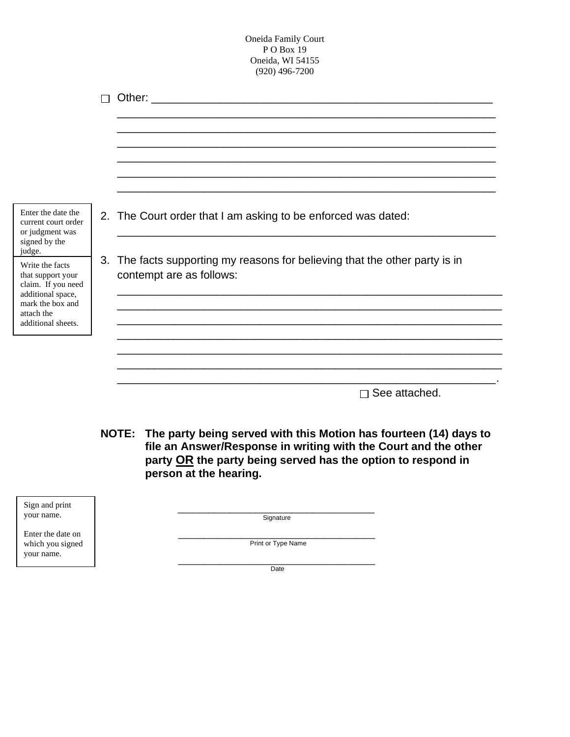Oneida Family Court P O Box 19 Oneida, WI 54155 (920) 496-7200

|                                                                                                                                                                                                                                    | Other:                                                                                                                                                                   |
|------------------------------------------------------------------------------------------------------------------------------------------------------------------------------------------------------------------------------------|--------------------------------------------------------------------------------------------------------------------------------------------------------------------------|
| Enter the date the<br>current court order<br>or judgment was<br>signed by the<br>judge.<br>Write the facts<br>that support your<br>claim. If you need<br>additional space,<br>mark the box and<br>attach the<br>additional sheets. | 2. The Court order that I am asking to be enforced was dated:<br>3. The facts supporting my reasons for believing that the other party is in<br>contempt are as follows: |
|                                                                                                                                                                                                                                    | See attached.<br>$\Box$                                                                                                                                                  |

**NOTE: The party being served with this Motion has fourteen (14) days to file an Answer/Response in writing with the Court and the other party OR the party being served has the option to respond in person at the hearing.**

Sign and print your name.

 \_\_\_\_\_\_\_\_\_\_\_\_\_\_\_\_\_\_\_\_\_\_\_\_\_\_\_\_\_\_\_\_\_\_\_\_\_\_ Signature

 \_\_\_\_\_\_\_\_\_\_\_\_\_\_\_\_\_\_\_\_\_\_\_\_\_\_\_\_\_\_\_\_\_\_\_\_\_\_ Print or Type Name

Enter the date on which you signed your name.

 \_\_\_\_\_\_\_\_\_\_\_\_\_\_\_\_\_\_\_\_\_\_\_\_\_\_\_\_\_\_\_\_\_\_\_\_\_\_ Date